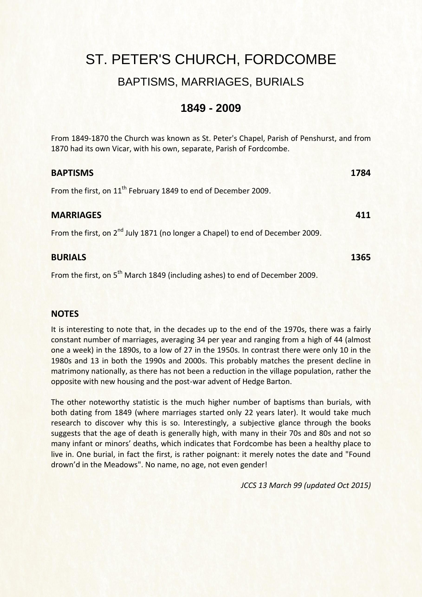## ST. PETER'S CHURCH, FORDCOMBE

### BAPTISMS, MARRIAGES, BURIALS

### **1849 - 2009**

From 1849-1870 the Church was known as St. Peter's Chapel, Parish of Penshurst, and from 1870 had its own Vicar, with his own, separate, Parish of Fordcombe.

| <b>BAPTISMS</b>                                                                            | 1784 |
|--------------------------------------------------------------------------------------------|------|
| From the first, on 11 <sup>th</sup> February 1849 to end of December 2009.                 |      |
| <b>MARRIAGES</b>                                                                           | 411  |
| From the first, on 2 <sup>nd</sup> July 1871 (no longer a Chapel) to end of December 2009. |      |
| <b>BURIALS</b>                                                                             | 1365 |

From the first, on 5<sup>th</sup> March 1849 (including ashes) to end of December 2009.

### **NOTES**

It is interesting to note that, in the decades up to the end of the 1970s, there was a fairly constant number of marriages, averaging 34 per year and ranging from a high of 44 (almost one a week) in the 1890s, to a low of 27 in the 1950s. In contrast there were only 10 in the 1980s and 13 in both the 1990s and 2000s. This probably matches the present decline in matrimony nationally, as there has not been a reduction in the village population, rather the opposite with new housing and the post-war advent of Hedge Barton.

The other noteworthy statistic is the much higher number of baptisms than burials, with both dating from 1849 (where marriages started only 22 years later). It would take much research to discover why this is so. Interestingly, a subjective glance through the books suggests that the age of death is generally high, with many in their 70s and 80s and not so many infant or minors' deaths, which indicates that Fordcombe has been a healthy place to live in. One burial, in fact the first, is rather poignant: it merely notes the date and "Found drown'd in the Meadows". No name, no age, not even gender!

*JCCS 13 March 99 (updated Oct 2015)*